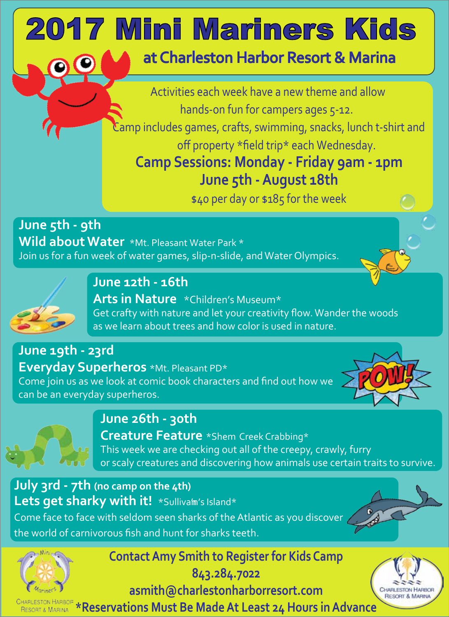# 017 Mini Mariners Kids at Charleston Harbor Resort & Marina

Activities each week have a new theme and allow hands-on fun for campers ages 5-12.

Camp includes games, crafts, swimming, snacks, lunch t-shirt and off property \*field trip\* each Wednesday.

**Camp Sessions: Monday - Friday 9am - 1pm June 5th -August 18th**

\$40 per day or \$185 for the week

**June 5th - 9th Wild about Water** \*Mt. Pleasant Water Park \* Join us for a fun week of water games, slip-n-slide, and Water Olympics.



**June 12th - 16th**

**Arts in Nature** \*Children's Museum\* Get crafty with nature and let your creativity flow.Wander the woods as we learn about trees and how color is used in nature.

**June 19th - 23rd Everyday Superheros** \*Mt. Pleasant PD\* Come join us as we look at comic book characters and find out how we can be an everyday superheros.





**June 26th - 30th**

**Creature Feature** \*Shem Creek Crabbing\* This week we are checking out all of the creepy, crawly, furry or scaly creatures and discovering how animals use certain traits to survive.

**July 3rd - 7th (no camp on the 4th)** Lets get sharky with it! \*Sullivafm's Island\* Come face to face with seldom seen sharks of the Atlantic as you discover the world of carnivorous fish and hunt for sharks teeth.



**ContactAmy Smith to Register for Kids Camp**

**843.284.7022**

**asmith@charlestonharborresort.com**

**CHARLESTON HARBOF \*Reservations Must Be Made At Least 24 Hours in Advance**